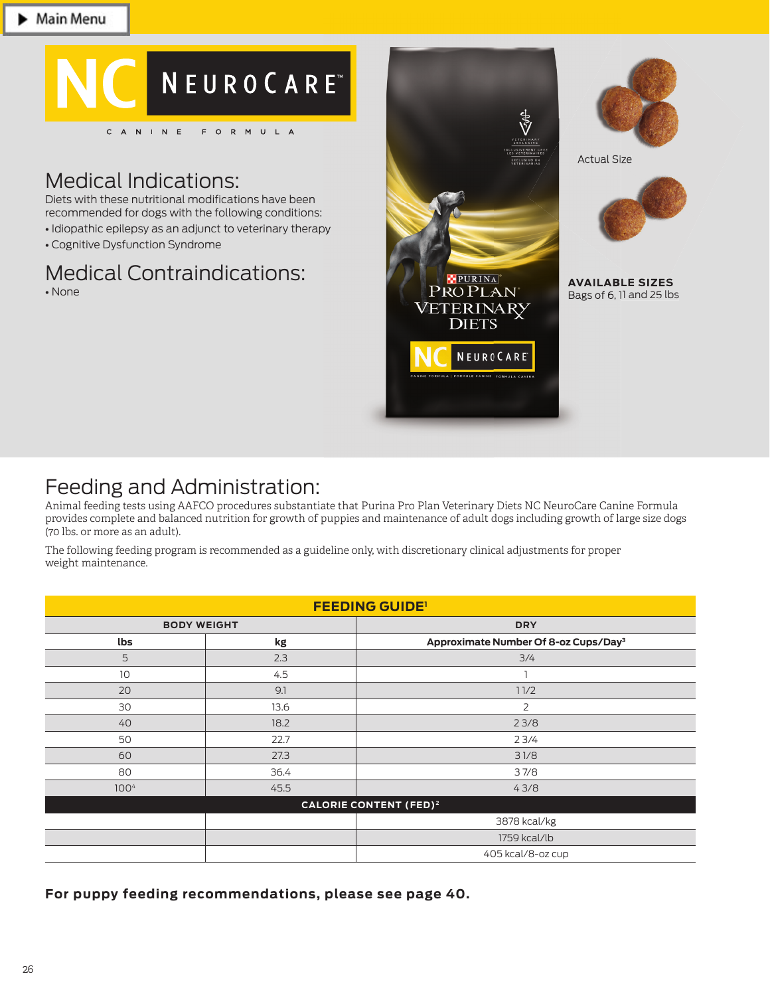# **NEUROCARE** CANINE FORMULA

## Medical Indications:

Diets with these nutritional modifications have been recommended for dogs with the following conditions:

- Idiopathic epilepsy as an adjunct to veterinary therapy
- Cognitive Dysfunction Syndrome

## Medical Contraindications:

• None



#### Feeding and Administration:

Animal feeding tests using AAFCO procedures substantiate that Purina Pro Plan Veterinary Diets NC NeuroCare Canine Formula provides complete and balanced nutrition for growth of puppies and maintenance of adult dogs including growth of large size dogs (70 lbs. or more as an adult).

The following feeding program is recommended as a guideline only, with discretionary clinical adjustments for proper weight maintenance.

| <b>FEEDING GUIDE'</b>                    |      |                                                  |  |  |
|------------------------------------------|------|--------------------------------------------------|--|--|
| <b>BODY WEIGHT</b>                       |      | <b>DRY</b>                                       |  |  |
| lbs                                      | kg   | Approximate Number Of 8-oz Cups/Day <sup>3</sup> |  |  |
| 5                                        | 2.3  | 3/4                                              |  |  |
| 10                                       | 4.5  |                                                  |  |  |
| 20                                       | 9.1  | 11/2                                             |  |  |
| 30                                       | 13.6 | 2                                                |  |  |
| 40                                       | 18.2 | 23/8                                             |  |  |
| 50                                       | 22.7 | 23/4                                             |  |  |
| 60                                       | 27.3 | 31/8                                             |  |  |
| 80                                       | 36.4 | 37/8                                             |  |  |
| 100 <sup>4</sup>                         | 45.5 | 43/8                                             |  |  |
| <b>CALORIE CONTENT (FED)<sup>2</sup></b> |      |                                                  |  |  |
|                                          |      | 3878 kcal/kg                                     |  |  |
|                                          |      | 1759 kcal/lb                                     |  |  |
|                                          |      | 405 kcal/8-oz cup                                |  |  |

**For puppy feeding recommendations, please see page 40.**